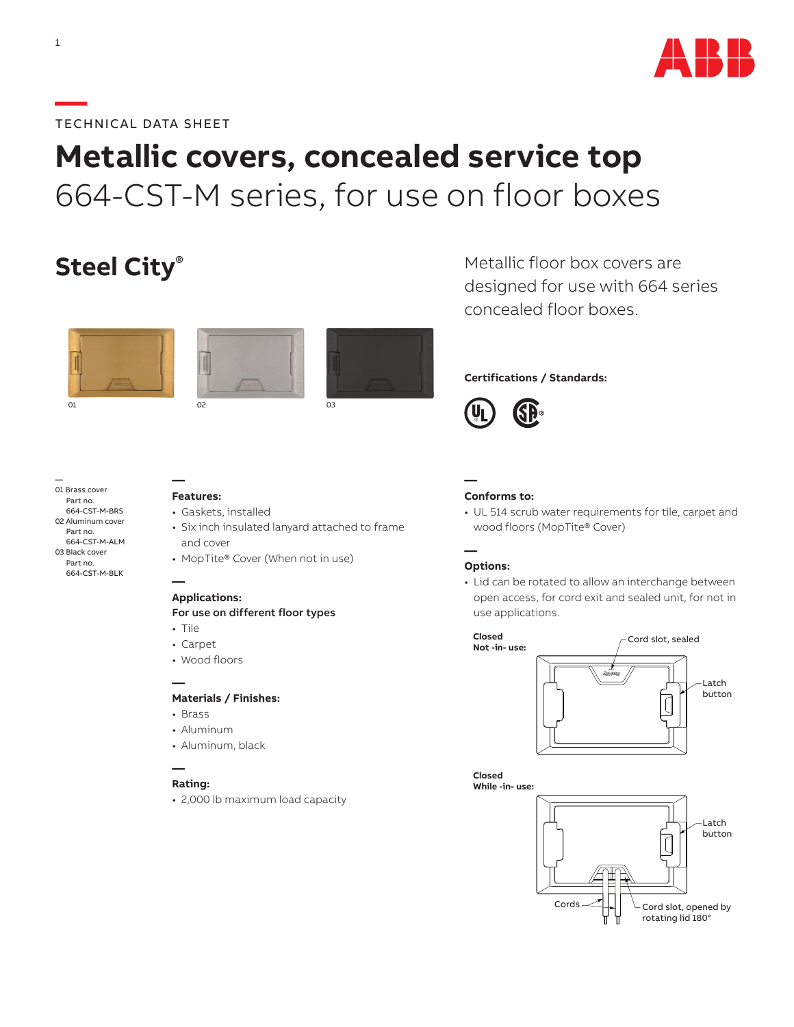

### **—**TECHNICAL DATA SHEET

# **Metallic covers, concealed service top** 664-CST-M series, for use on floor boxes

## **Steel City**®





01 02 03





Metallic floor box covers are designed for use with 664 series concealed floor boxes.

#### **Certifications / Standards:**



— 01 Brass cover Part no. 664-CST-M-BRS 02 Aluminum cover Part no. 664-CST-M-ALM 03 Black cover Part no. 664-CST-M-BLK

#### **— Features:**

- Gaskets, installed
- Six inch insulated lanyard attached to frame and cover
- MopTite® Cover (When not in use)

#### **— Applications:**

#### For use on different floor types

- Tile
- Carpet
- Wood floors

#### **Materials / Finishes:**

• Brass

**—**

- Aluminum
- Aluminum, black

#### **Rating:**

**—**

• 2,000 lb maximum load capacity

#### **— Conforms to:**

• UL 514 scrub water requirements for tile, carpet and wood floors (MopTite® Cover)

#### **— Options:**

• Lid can be rotated to allow an interchange between open access, for cord exit and sealed unit, for not in use applications.